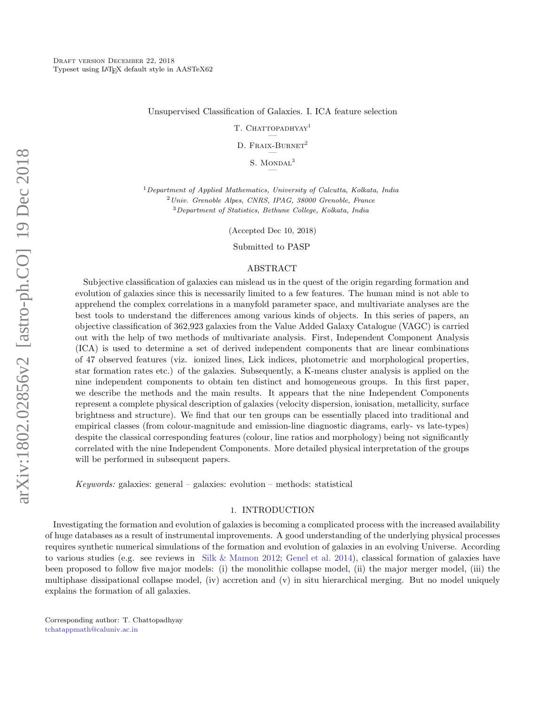Unsupervised Classification of Galaxies. I. ICA feature selection

T. CHATTOPADHYAY<sup>1</sup> —

D. FRAIX-BURNET<sup>2</sup> —

> S. MONDAL<sup>3</sup> —

 $1$ Department of Applied Mathematics, University of Calcutta, Kolkata, India <sup>2</sup>Univ. Grenoble Alpes, CNRS, IPAG, 38000 Grenoble, France <sup>3</sup>Department of Statistics, Bethune College, Kolkata, India

(Accepted Dec 10, 2018)

Submitted to PASP

# ABSTRACT

Subjective classification of galaxies can mislead us in the quest of the origin regarding formation and evolution of galaxies since this is necessarily limited to a few features. The human mind is not able to apprehend the complex correlations in a manyfold parameter space, and multivariate analyses are the best tools to understand the differences among various kinds of objects. In this series of papers, an objective classification of 362,923 galaxies from the Value Added Galaxy Catalogue (VAGC) is carried out with the help of two methods of multivariate analysis. First, Independent Component Analysis (ICA) is used to determine a set of derived independent components that are linear combinations of 47 observed features (viz. ionized lines, Lick indices, photometric and morphological properties, star formation rates etc.) of the galaxies. Subsequently, a K-means cluster analysis is applied on the nine independent components to obtain ten distinct and homogeneous groups. In this first paper, we describe the methods and the main results. It appears that the nine Independent Components represent a complete physical description of galaxies (velocity dispersion, ionisation, metallicity, surface brightness and structure). We find that our ten groups can be essentially placed into traditional and empirical classes (from colour-magnitude and emission-line diagnostic diagrams, early- vs late-types) despite the classical corresponding features (colour, line ratios and morphology) being not significantly correlated with the nine Independent Components. More detailed physical interpretation of the groups will be performed in subsequent papers.

Keywords: galaxies: general – galaxies: evolution – methods: statistical

### 1. INTRODUCTION

Investigating the formation and evolution of galaxies is becoming a complicated process with the increased availability of huge databases as a result of instrumental improvements. A good understanding of the underlying physical processes requires synthetic numerical simulations of the formation and evolution of galaxies in an evolving Universe. According to various studies (e.g. see reviews in Silk & Mamon 2012; Genel et al. 2014), classical formation of galaxies have been proposed to follow five major models: (i) the monolithic collapse model, (ii) the major merger model, (iii) the multiphase dissipational collapse model, (iv) accretion and (v) in situ hierarchical merging. But no model uniquely explains the formation of all galaxies.

Corresponding author: T. Chattopadhyay tchatappmath@caluniv.ac.in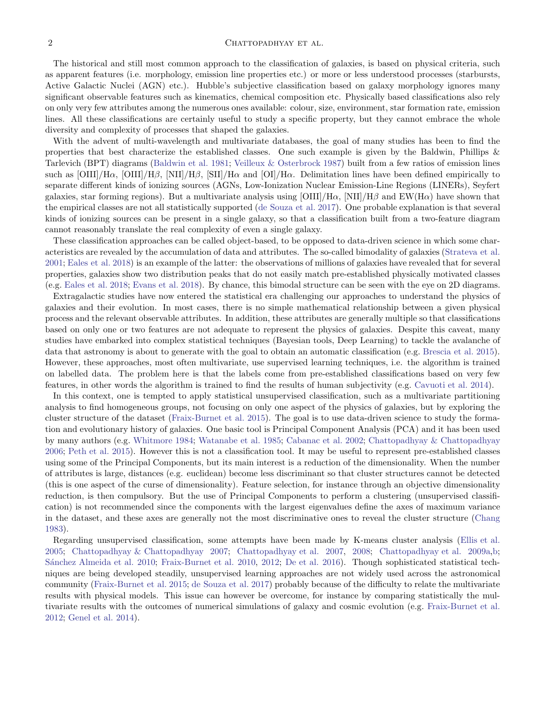## $C$ HATTOPADHYAY ET AL.

The historical and still most common approach to the classification of galaxies, is based on physical criteria, such as apparent features (i.e. morphology, emission line properties etc.) or more or less understood processes (starbursts, Active Galactic Nuclei (AGN) etc.). Hubble's subjective classification based on galaxy morphology ignores many significant observable features such as kinematics, chemical composition etc. Physically based classifications also rely on only very few attributes among the numerous ones available: colour, size, environment, star formation rate, emission lines. All these classifications are certainly useful to study a specific property, but they cannot embrace the whole diversity and complexity of processes that shaped the galaxies.

With the advent of multi-wavelength and multivariate databases, the goal of many studies has been to find the properties that best characterize the established classes. One such example is given by the Baldwin, Phillips & Tarlevich (BPT) diagrams (Baldwin et al. 1981; Veilleux & Osterbrock 1987) built from a few ratios of emission lines such as  $[OIII]/H\alpha$ ,  $[OIII]/H\beta$ ,  $[NII]/H\beta$ ,  $[SII]/H\alpha$  and  $[OII]/H\alpha$ . Delimitation lines have been defined empirically to separate different kinds of ionizing sources (AGNs, Low-Ionization Nuclear Emission-Line Regions (LINERs), Seyfert galaxies, star forming regions). But a multivariate analysis using  $[OIII]/H\alpha$ ,  $[NII]/H\beta$  and  $EW(H\alpha)$  have shown that the empirical classes are not all statistically supported (de Souza et al. 2017). One probable explanation is that several kinds of ionizing sources can be present in a single galaxy, so that a classification built from a two-feature diagram cannot reasonably translate the real complexity of even a single galaxy.

These classification approaches can be called object-based, to be opposed to data-driven science in which some characteristics are revealed by the accumulation of data and attributes. The so-called bimodality of galaxies (Strateva et al. 2001; Eales et al. 2018) is an example of the latter: the observations of millions of galaxies have revealed that for several properties, galaxies show two distribution peaks that do not easily match pre-established physically motivated classes (e.g. Eales et al. 2018; Evans et al. 2018). By chance, this bimodal structure can be seen with the eye on 2D diagrams.

Extragalactic studies have now entered the statistical era challenging our approaches to understand the physics of galaxies and their evolution. In most cases, there is no simple mathematical relationship between a given physical process and the relevant observable attributes. In addition, these attributes are generally multiple so that classifications based on only one or two features are not adequate to represent the physics of galaxies. Despite this caveat, many studies have embarked into complex statistical techniques (Bayesian tools, Deep Learning) to tackle the avalanche of data that astronomy is about to generate with the goal to obtain an automatic classification (e.g. Brescia et al. 2015). However, these approaches, most often multivariate, use supervised learning techniques, i.e. the algorithm is trained on labelled data. The problem here is that the labels come from pre-established classifications based on very few features, in other words the algorithm is trained to find the results of human subjectivity (e.g. Cavuoti et al. 2014).

In this context, one is tempted to apply statistical unsupervised classification, such as a multivariate partitioning analysis to find homogeneous groups, not focusing on only one aspect of the physics of galaxies, but by exploring the cluster structure of the dataset (Fraix-Burnet et al. 2015). The goal is to use data-driven science to study the formation and evolutionary history of galaxies. One basic tool is Principal Component Analysis (PCA) and it has been used by many authors (e.g. Whitmore 1984; Watanabe et al. 1985; Cabanac et al. 2002; Chattopadhyay & Chattopadhyay 2006; Peth et al. 2015). However this is not a classification tool. It may be useful to represent pre-established classes using some of the Principal Components, but its main interest is a reduction of the dimensionality. When the number of attributes is large, distances (e.g. euclidean) become less discriminant so that cluster structures cannot be detected (this is one aspect of the curse of dimensionality). Feature selection, for instance through an objective dimensionality reduction, is then compulsory. But the use of Principal Components to perform a clustering (unsupervised classification) is not recommended since the components with the largest eigenvalues define the axes of maximum variance in the dataset, and these axes are generally not the most discriminative ones to reveal the cluster structure (Chang 1983).

Regarding unsupervised classification, some attempts have been made by K-means cluster analysis (Ellis et al. 2005; Chattopadhyay & Chattopadhyay 2007; Chattopadhyay et al. 2007, 2008; Chattopadhyay et al. 2009a,b; Sánchez Almeida et al. 2010; Fraix-Burnet et al. 2010, 2012; De et al. 2016). Though sophisticated statistical techniques are being developed steadily, unsupervised learning approaches are not widely used across the astronomical community (Fraix-Burnet et al. 2015; de Souza et al. 2017) probably because of the difficulty to relate the multivariate results with physical models. This issue can however be overcome, for instance by comparing statistically the multivariate results with the outcomes of numerical simulations of galaxy and cosmic evolution (e.g. Fraix-Burnet et al. 2012; Genel et al. 2014).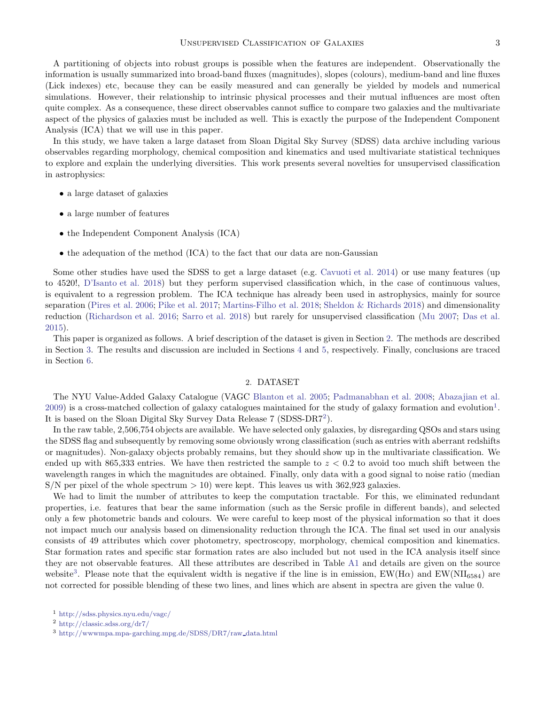A partitioning of objects into robust groups is possible when the features are independent. Observationally the information is usually summarized into broad-band fluxes (magnitudes), slopes (colours), medium-band and line fluxes (Lick indexes) etc, because they can be easily measured and can generally be yielded by models and numerical simulations. However, their relationship to intrinsic physical processes and their mutual influences are most often quite complex. As a consequence, these direct observables cannot suffice to compare two galaxies and the multivariate aspect of the physics of galaxies must be included as well. This is exactly the purpose of the Independent Component Analysis (ICA) that we will use in this paper.

In this study, we have taken a large dataset from Sloan Digital Sky Survey (SDSS) data archive including various observables regarding morphology, chemical composition and kinematics and used multivariate statistical techniques to explore and explain the underlying diversities. This work presents several novelties for unsupervised classification in astrophysics:

- a large dataset of galaxies
- a large number of features
- the Independent Component Analysis (ICA)
- the adequation of the method (ICA) to the fact that our data are non-Gaussian

Some other studies have used the SDSS to get a large dataset (e.g. Cavuoti et al. 2014) or use many features (up to 4520!, D'Isanto et al. 2018) but they perform supervised classification which, in the case of continuous values, is equivalent to a regression problem. The ICA technique has already been used in astrophysics, mainly for source separation (Pires et al. 2006; Pike et al. 2017; Martins-Filho et al. 2018; Sheldon & Richards 2018) and dimensionality reduction (Richardson et al. 2016; Sarro et al. 2018) but rarely for unsupervised classification (Mu 2007; Das et al. 2015).

This paper is organized as follows. A brief description of the dataset is given in Section 2. The methods are described in Section 3. The results and discussion are included in Sections 4 and 5, respectively. Finally, conclusions are traced in Section 6.

### 2. DATASET

The NYU Value-Added Galaxy Catalogue (VAGC Blanton et al. 2005; Padmanabhan et al. 2008; Abazajian et al.  $2009$ ) is a cross-matched collection of galaxy catalogues maintained for the study of galaxy formation and evolution<sup>1</sup>. It is based on the Sloan Digital Sky Survey Data Release 7 (SDSS-DR7<sup>2</sup> ).

In the raw table, 2,506,754 objects are available. We have selected only galaxies, by disregarding QSOs and stars using the SDSS flag and subsequently by removing some obviously wrong classification (such as entries with aberrant redshifts or magnitudes). Non-galaxy objects probably remains, but they should show up in the multivariate classification. We ended up with 865,333 entries. We have then restricted the sample to  $z < 0.2$  to avoid too much shift between the wavelength ranges in which the magnitudes are obtained. Finally, only data with a good signal to noise ratio (median  $S/N$  per pixel of the whole spectrum  $> 10$ ) were kept. This leaves us with 362,923 galaxies.

We had to limit the number of attributes to keep the computation tractable. For this, we eliminated redundant properties, i.e. features that bear the same information (such as the Sersic profile in different bands), and selected only a few photometric bands and colours. We were careful to keep most of the physical information so that it does not impact much our analysis based on dimensionality reduction through the ICA. The final set used in our analysis consists of 49 attributes which cover photometry, spectroscopy, morphology, chemical composition and kinematics. Star formation rates and specific star formation rates are also included but not used in the ICA analysis itself since they are not observable features. All these attributes are described in Table A1 and details are given on the source website<sup>3</sup>. Please note that the equivalent width is negative if the line is in emission,  $EW(H\alpha)$  and  $EW(NII_{6584})$  are not corrected for possible blending of these two lines, and lines which are absent in spectra are given the value 0.

<sup>1</sup> http://sdss.physics.nyu.edu/vagc/

<sup>2</sup> http://classic.sdss.org/dr7/

 $3$  http://wwwmpa.mpa-garching.mpg.de/SDSS/DR7/raw\_data.html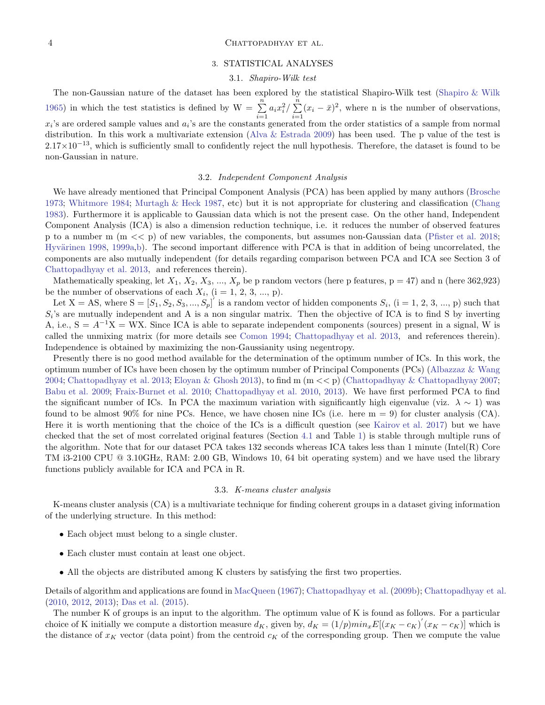### 4 CHATTOPADHYAY ET AL.

### 3. STATISTICAL ANALYSES

### 3.1. Shapiro-Wilk test

The non-Gaussian nature of the dataset has been explored by the statistical Shapiro-Wilk test (Shapiro & Wilk 1965) in which the test statistics is defined by  $W = \sum_{n=1}^{\infty}$  $\sum_{i=1}^{n} a_i x_i^2 / \sum_{i=1}^{n}$  $\sum_{i=1}^{n} (x_i - \bar{x})^2$ , where n is the number of observations,  $x_i$ 's are ordered sample values and  $a_i$ 's are the constants generated from the order statistics of a sample from normal distribution. In this work a multivariate extension (Alva & Estrada 2009) has been used. The p value of the test is  $2.17\times10^{-13}$ , which is sufficiently small to confidently reject the null hypothesis. Therefore, the dataset is found to be non-Gaussian in nature.

# 3.2. Independent Component Analysis

We have already mentioned that Principal Component Analysis (PCA) has been applied by many authors (Brosche 1973; Whitmore 1984; Murtagh & Heck 1987, etc) but it is not appropriate for clustering and classification (Chang 1983). Furthermore it is applicable to Gaussian data which is not the present case. On the other hand, Independent Component Analysis (ICA) is also a dimension reduction technique, i.e. it reduces the number of observed features p to a number m  $(m \ll p)$  of new variables, the components, but assumes non-Gaussian data (Pfister et al. 2018; Hyvärinen 1998, 1999a,b). The second important difference with PCA is that in addition of being uncorrelated, the components are also mutually independent (for details regarding comparison between PCA and ICA see Section 3 of Chattopadhyay et al. 2013, and references therein).

Mathematically speaking, let  $X_1, X_2, X_3, ..., X_p$  be p random vectors (here p features,  $p = 47$ ) and n (here 362,923) be the number of observations of each  $X_i$ ,  $(i = 1, 2, 3, ..., p)$ .

Let  $X = AS$ , where  $S = [S_1, S_2, S_3, ..., S_p]^T$  is a random vector of hidden components  $S_i$ ,  $(i = 1, 2, 3, ..., p)$  such that  $S_i$ 's are mutually independent and A is a non singular matrix. Then the objective of ICA is to find S by inverting A, i.e.,  $S = A^{-1}X = WX$ . Since ICA is able to separate independent components (sources) present in a signal, W is called the unmixing matrix (for more details see Comon 1994; Chattopadhyay et al. 2013, and references therein). Independence is obtained by maximizing the non-Gaussianity using negentropy.

Presently there is no good method available for the determination of the optimum number of ICs. In this work, the optimum number of ICs have been chosen by the optimum number of Principal Components (PCs) (Albazzaz & Wang 2004; Chattopadhyay et al. 2013; Eloyan & Ghosh 2013), to find m (m << p) (Chattopadhyay & Chattopadhyay 2007; Babu et al. 2009; Fraix-Burnet et al. 2010; Chattopadhyay et al. 2010, 2013). We have first performed PCA to find the significant number of ICs. In PCA the maximum variation with significantly high eigenvalue (viz.  $\lambda \sim 1$ ) was found to be almost 90% for nine PCs. Hence, we have chosen nine ICs (i.e. here  $m = 9$ ) for cluster analysis (CA). Here it is worth mentioning that the choice of the ICs is a difficult question (see Kairov et al. 2017) but we have checked that the set of most correlated original features (Section 4.1 and Table 1) is stable through multiple runs of the algorithm. Note that for our dataset PCA takes 132 seconds whereas ICA takes less than 1 minute (Intel(R) Core TM i3-2100 CPU @ 3.10GHz, RAM: 2.00 GB, Windows 10, 64 bit operating system) and we have used the library functions publicly available for ICA and PCA in R.

#### 3.3. K-means cluster analysis

K-means cluster analysis (CA) is a multivariate technique for finding coherent groups in a dataset giving information of the underlying structure. In this method:

- Each object must belong to a single cluster.
- Each cluster must contain at least one object.
- All the objects are distributed among K clusters by satisfying the first two properties.

Details of algorithm and applications are found in MacQueen (1967); Chattopadhyay et al. (2009b); Chattopadhyay et al. (2010, 2012, 2013); Das et al. (2015).

The number K of groups is an input to the algorithm. The optimum value of K is found as follows. For a particular choice of K initially we compute a distortion measure  $d_K$ , given by,  $d_K = (1/p)min_x E[(x_K - c_K)(x_K - c_K)]$  which is the distance of  $x_K$  vector (data point) from the centroid  $c_K$  of the corresponding group. Then we compute the value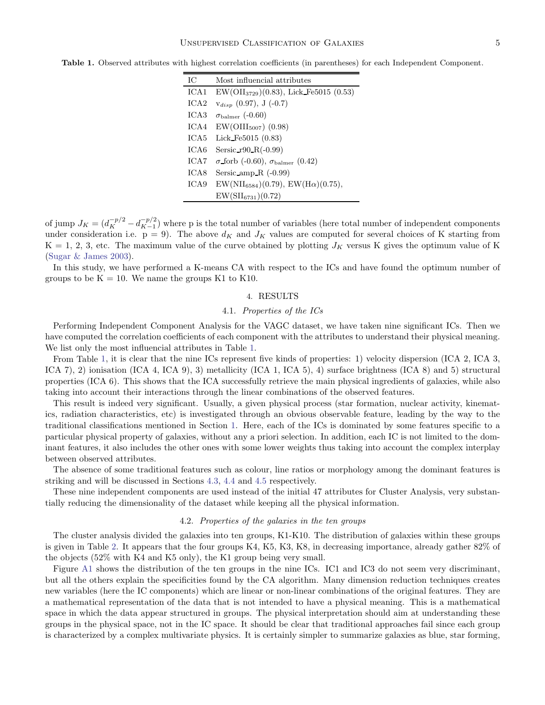| IС               | Most influencial attributes                            |
|------------------|--------------------------------------------------------|
| ICA1             | $EW(OII3729)(0.83), Lick_F5015(0.53)$                  |
| ICA2             | $V_{disp}$ (0.97), J (-0.7)                            |
| ICA <sub>3</sub> | $\sigma_{\rm{balmer}}$ (-0.60)                         |
| ICA4             | $EW(OIII_{5007})$ (0.98)                               |
| ICA5             | Lick_Fe $5015$ $(0.83)$                                |
| ICA6             | Sersic_r $90_R(-0.99)$                                 |
| ICA7             | $\sigma$ forb (-0.60), $\sigma_{\text{balmer}}$ (0.42) |
| ICA8             | Sersic amp $R$ (-0.99)                                 |
| ICA9             | $EW(NII_{6584})(0.79)$ , $EW(H\alpha)(0.75)$ ,         |
|                  | $EW(SII_{6731})(0.72)$                                 |

Table 1. Observed attributes with highest correlation coefficients (in parentheses) for each Independent Component.

of jump  $J_K = (d_K^{-p/2} - d_{K-1}^{-p/2})$  $\binom{-p/2}{K-1}$  where p is the total number of variables (here total number of independent components under consideration i.e.  $p = 9$ ). The above  $d_K$  and  $J_K$  values are computed for several choices of K starting from  $K = 1, 2, 3$ , etc. The maximum value of the curve obtained by plotting  $J_K$  versus K gives the optimum value of K (Sugar & James 2003).

In this study, we have performed a K-means CA with respect to the ICs and have found the optimum number of groups to be  $K = 10$ . We name the groups K1 to K10.

### 4. RESULTS

### 4.1. Properties of the ICs

Performing Independent Component Analysis for the VAGC dataset, we have taken nine significant ICs. Then we have computed the correlation coefficients of each component with the attributes to understand their physical meaning. We list only the most influencial attributes in Table 1.

From Table 1, it is clear that the nine ICs represent five kinds of properties: 1) velocity dispersion (ICA 2, ICA 3, ICA 7), 2) ionisation (ICA 4, ICA 9), 3) metallicity (ICA 1, ICA 5), 4) surface brightness (ICA 8) and 5) structural properties (ICA 6). This shows that the ICA successfully retrieve the main physical ingredients of galaxies, while also taking into account their interactions through the linear combinations of the observed features.

This result is indeed very significant. Usually, a given physical process (star formation, nuclear activity, kinematics, radiation characteristics, etc) is investigated through an obvious observable feature, leading by the way to the traditional classifications mentioned in Section 1. Here, each of the ICs is dominated by some features specific to a particular physical property of galaxies, without any a priori selection. In addition, each IC is not limited to the dominant features, it also includes the other ones with some lower weights thus taking into account the complex interplay between observed attributes.

The absence of some traditional features such as colour, line ratios or morphology among the dominant features is striking and will be discussed in Sections 4.3, 4.4 and 4.5 respectively.

These nine independent components are used instead of the initial 47 attributes for Cluster Analysis, very substantially reducing the dimensionality of the dataset while keeping all the physical information.

#### 4.2. Properties of the galaxies in the ten groups

The cluster analysis divided the galaxies into ten groups, K1-K10. The distribution of galaxies within these groups is given in Table 2. It appears that the four groups K4, K5, K3, K8, in decreasing importance, already gather 82% of the objects (52% with K4 and K5 only), the K1 group being very small.

Figure A1 shows the distribution of the ten groups in the nine ICs. IC1 and IC3 do not seem very discriminant, but all the others explain the specificities found by the CA algorithm. Many dimension reduction techniques creates new variables (here the IC components) which are linear or non-linear combinations of the original features. They are a mathematical representation of the data that is not intended to have a physical meaning. This is a mathematical space in which the data appear structured in groups. The physical interpretation should aim at understanding these groups in the physical space, not in the IC space. It should be clear that traditional approaches fail since each group is characterized by a complex multivariate physics. It is certainly simpler to summarize galaxies as blue, star forming,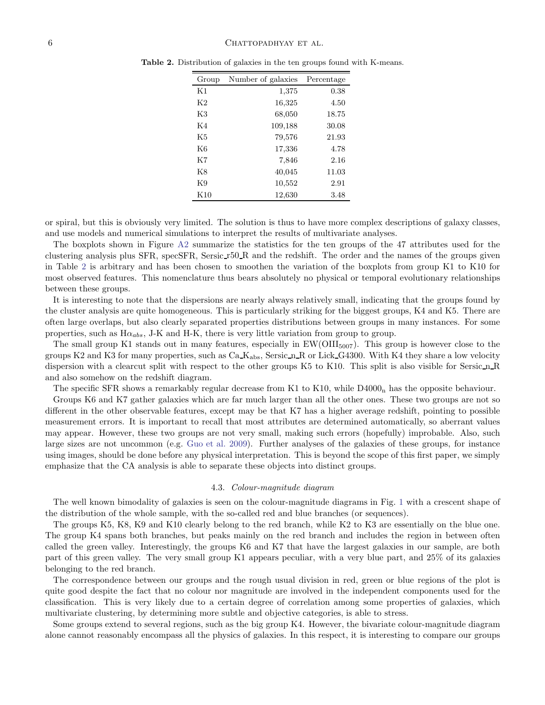| Group          | Number of galaxies | Percentage |
|----------------|--------------------|------------|
| K1             | 1,375              | 0.38       |
| K <sub>2</sub> | 16,325             | 4.50       |
| K3             | 68,050             | 18.75      |
| K4             | 109,188            | 30.08      |
| K5             | 79,576             | 21.93      |
| K6             | 17,336             | 4.78       |
| K7             | 7,846              | 2.16       |
| Κ8             | 40,045             | 11.03      |
| K9             | 10,552             | 2.91       |
| K10            | 12,630             | 3.48       |

Table 2. Distribution of galaxies in the ten groups found with K-means.

or spiral, but this is obviously very limited. The solution is thus to have more complex descriptions of galaxy classes, and use models and numerical simulations to interpret the results of multivariate analyses.

The boxplots shown in Figure A2 summarize the statistics for the ten groups of the 47 attributes used for the clustering analysis plus SFR, specSFR, Sersic r50 R and the redshift. The order and the names of the groups given in Table 2 is arbitrary and has been chosen to smoothen the variation of the boxplots from group K1 to K10 for most observed features. This nomenclature thus bears absolutely no physical or temporal evolutionary relationships between these groups.

It is interesting to note that the dispersions are nearly always relatively small, indicating that the groups found by the cluster analysis are quite homogeneous. This is particularly striking for the biggest groups, K4 and K5. There are often large overlaps, but also clearly separated properties distributions between groups in many instances. For some properties, such as  $H\alpha_{abs}$ , J-K and H-K, there is very little variation from group to group.

The small group K1 stands out in many features, especially in  $EW(OIII_{5007})$ . This group is however close to the groups K2 and K3 for many properties, such as  $Ca_{\rm Abs}$ , Sersic  $n_R$  or Lick  $G4300$ . With K4 they share a low velocity dispersion with a clearcut split with respect to the other groups K5 to K10. This split is also visible for Sersic n R and also somehow on the redshift diagram.

The specific SFR shows a remarkably regular decrease from K1 to K10, while D4000<sub>n</sub> has the opposite behaviour.

Groups K6 and K7 gather galaxies which are far much larger than all the other ones. These two groups are not so different in the other observable features, except may be that K7 has a higher average redshift, pointing to possible measurement errors. It is important to recall that most attributes are determined automatically, so aberrant values may appear. However, these two groups are not very small, making such errors (hopefully) improbable. Also, such large sizes are not uncommon (e.g. Guo et al. 2009). Further analyses of the galaxies of these groups, for instance using images, should be done before any physical interpretation. This is beyond the scope of this first paper, we simply emphasize that the CA analysis is able to separate these objects into distinct groups.

#### 4.3. Colour-magnitude diagram

The well known bimodality of galaxies is seen on the colour-magnitude diagrams in Fig. 1 with a crescent shape of the distribution of the whole sample, with the so-called red and blue branches (or sequences).

The groups K5, K8, K9 and K10 clearly belong to the red branch, while K2 to K3 are essentially on the blue one. The group K4 spans both branches, but peaks mainly on the red branch and includes the region in between often called the green valley. Interestingly, the groups K6 and K7 that have the largest galaxies in our sample, are both part of this green valley. The very small group K1 appears peculiar, with a very blue part, and 25% of its galaxies belonging to the red branch.

The correspondence between our groups and the rough usual division in red, green or blue regions of the plot is quite good despite the fact that no colour nor magnitude are involved in the independent components used for the classification. This is very likely due to a certain degree of correlation among some properties of galaxies, which multivariate clustering, by determining more subtle and objective categories, is able to stress.

Some groups extend to several regions, such as the big group K4. However, the bivariate colour-magnitude diagram alone cannot reasonably encompass all the physics of galaxies. In this respect, it is interesting to compare our groups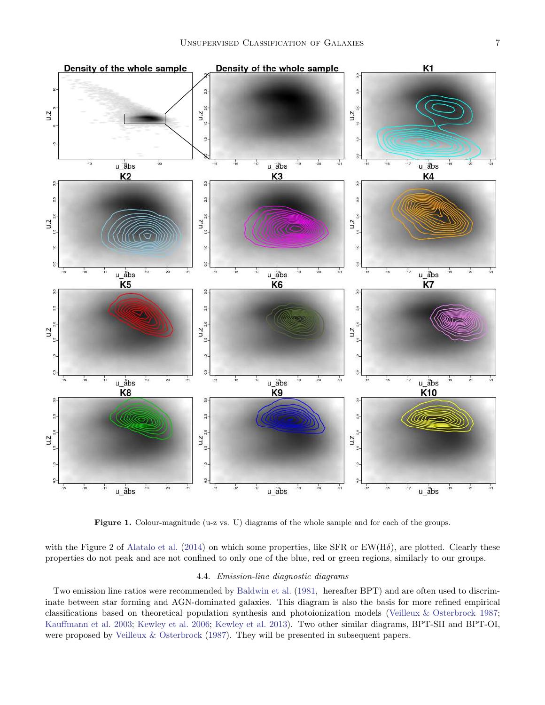

Figure 1. Colour-magnitude (u-z vs. U) diagrams of the whole sample and for each of the groups.

with the Figure 2 of Alatalo et al. (2014) on which some properties, like SFR or  $EW(H\delta)$ , are plotted. Clearly these properties do not peak and are not confined to only one of the blue, red or green regions, similarly to our groups.

### 4.4. Emission-line diagnostic diagrams

Two emission line ratios were recommended by Baldwin et al. (1981, hereafter BPT) and are often used to discriminate between star forming and AGN-dominated galaxies. This diagram is also the basis for more refined empirical classifications based on theoretical population synthesis and photoionization models (Veilleux & Osterbrock 1987; Kauffmann et al. 2003; Kewley et al. 2006; Kewley et al. 2013). Two other similar diagrams, BPT-SII and BPT-OI, were proposed by Veilleux & Osterbrock (1987). They will be presented in subsequent papers.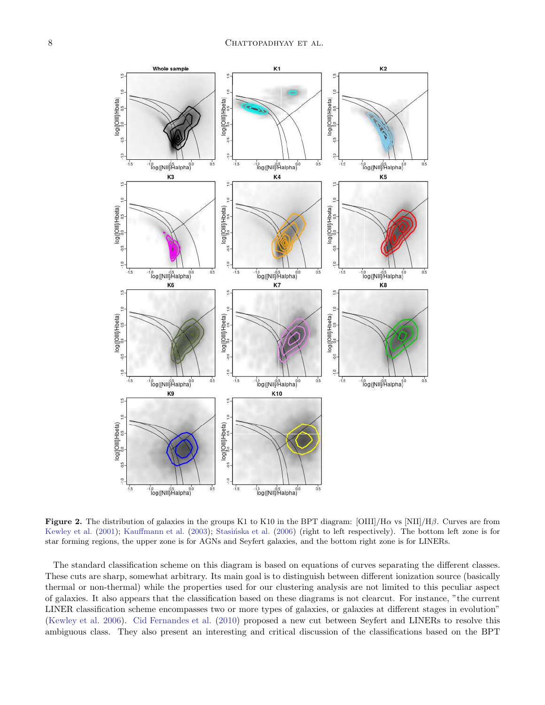

**Figure 2.** The distribution of galaxies in the groups K1 to K10 in the BPT diagram: [OIII]/H $\alpha$  vs [NII]/H $\beta$ . Curves are from Kewley et al. (2001); Kauffmann et al. (2003); Stasińska et al. (2006) (right to left respectively). The bottom left zone is for star forming regions, the upper zone is for AGNs and Seyfert galaxies, and the bottom right zone is for LINERs.

The standard classification scheme on this diagram is based on equations of curves separating the different classes. These cuts are sharp, somewhat arbitrary. Its main goal is to distinguish between different ionization source (basically thermal or non-thermal) while the properties used for our clustering analysis are not limited to this peculiar aspect of galaxies. It also appears that the classification based on these diagrams is not clearcut. For instance, "the current LINER classification scheme encompasses two or more types of galaxies, or galaxies at different stages in evolution" (Kewley et al. 2006). Cid Fernandes et al. (2010) proposed a new cut between Seyfert and LINERs to resolve this ambiguous class. They also present an interesting and critical discussion of the classifications based on the BPT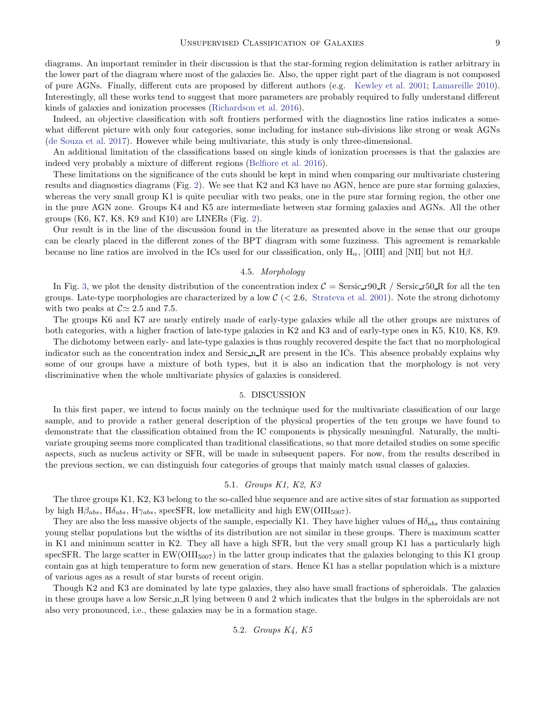diagrams. An important reminder in their discussion is that the star-forming region delimitation is rather arbitrary in the lower part of the diagram where most of the galaxies lie. Also, the upper right part of the diagram is not composed of pure AGNs. Finally, different cuts are proposed by different authors (e.g. Kewley et al. 2001; Lamareille 2010). Interestingly, all these works tend to suggest that more parameters are probably required to fully understand different kinds of galaxies and ionization processes (Richardson et al. 2016).

Indeed, an objective classification with soft frontiers performed with the diagnostics line ratios indicates a somewhat different picture with only four categories, some including for instance sub-divisions like strong or weak AGNs (de Souza et al. 2017). However while being multivariate, this study is only three-dimensional.

An additional limitation of the classifications based on single kinds of ionization processes is that the galaxies are indeed very probably a mixture of different regions (Belfiore et al. 2016).

These limitations on the significance of the cuts should be kept in mind when comparing our multivariate clustering results and diagnostics diagrams (Fig. 2). We see that K2 and K3 have no AGN, hence are pure star forming galaxies, whereas the very small group K1 is quite peculiar with two peaks, one in the pure star forming region, the other one in the pure AGN zone. Groups K4 and K5 are intermediate between star forming galaxies and AGNs. All the other groups  $(K6, K7, K8, K9, and K10)$  are LINERs (Fig. 2).

Our result is in the line of the discussion found in the literature as presented above in the sense that our groups can be clearly placed in the different zones of the BPT diagram with some fuzziness. This agreement is remarkable because no line ratios are involved in the ICs used for our classification, only  $H_{\alpha}$ , [OIII] and [NII] but not  $H\beta$ .

# 4.5. Morphology

In Fig. 3, we plot the density distribution of the concentration index  $C = \text{Sersic}\text{-}790\text{-}\text{R}$  / Sersic  $\text{-}750\text{-}\text{R}$  for all the ten groups. Late-type morphologies are characterized by a low  $\mathcal{C}$  ( $\lt$  2.6, Strateva et al. 2001). Note the strong dichotomy with two peaks at  $\mathcal{C} \simeq 2.5$  and 7.5.

The groups K6 and K7 are nearly entirely made of early-type galaxies while all the other groups are mixtures of both categories, with a higher fraction of late-type galaxies in K2 and K3 and of early-type ones in K5, K10, K8, K9.

The dichotomy between early- and late-type galaxies is thus roughly recovered despite the fact that no morphological indicator such as the concentration index and Sersic n R are present in the ICs. This absence probably explains why some of our groups have a mixture of both types, but it is also an indication that the morphology is not very discriminative when the whole multivariate physics of galaxies is considered.

### 5. DISCUSSION

In this first paper, we intend to focus mainly on the technique used for the multivariate classification of our large sample, and to provide a rather general description of the physical properties of the ten groups we have found to demonstrate that the classification obtained from the IC components is physically meaningful. Naturally, the multivariate grouping seems more complicated than traditional classifications, so that more detailed studies on some specific aspects, such as nucleus activity or SFR, will be made in subsequent papers. For now, from the results described in the previous section, we can distinguish four categories of groups that mainly match usual classes of galaxies.

### 5.1. Groups K1, K2, K3

The three groups K1, K2, K3 belong to the so-called blue sequence and are active sites of star formation as supported by high  $H\beta_{abs}$ ,  $H\delta_{abs}$ ,  $H\gamma_{abs}$ , specSFR, low metallicity and high EW(OIII<sub>5007</sub>).

They are also the less massive objects of the sample, especially K1. They have higher values of  $H\delta_{abs}$  thus containing young stellar populations but the widths of its distribution are not similar in these groups. There is maximum scatter in K1 and minimum scatter in K2. They all have a high SFR, but the very small group K1 has a particularly high specSFR. The large scatter in  $EW(OIII_{5007})$  in the latter group indicates that the galaxies belonging to this K1 group contain gas at high temperature to form new generation of stars. Hence K1 has a stellar population which is a mixture of various ages as a result of star bursts of recent origin.

Though K2 and K3 are dominated by late type galaxies, they also have small fractions of spheroidals. The galaxies in these groups have a low Sersic n R lying between 0 and 2 which indicates that the bulges in the spheroidals are not also very pronounced, i.e., these galaxies may be in a formation stage.

5.2. Groups K4, K5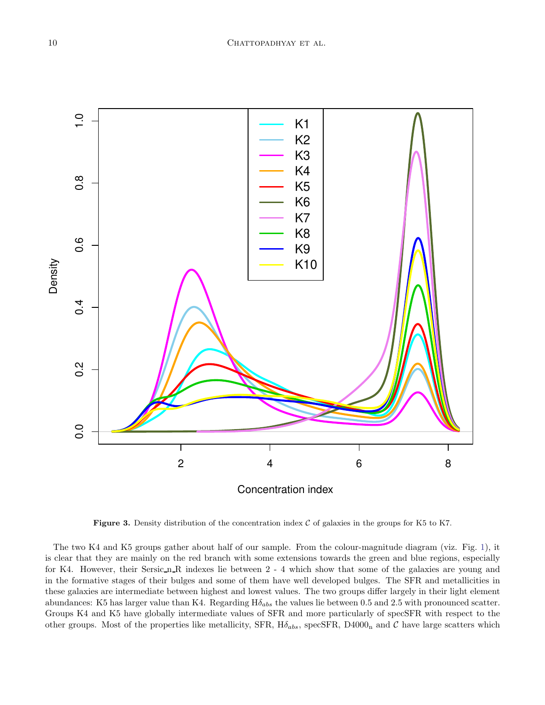

Figure 3. Density distribution of the concentration index  $C$  of galaxies in the groups for K5 to K7.

The two K4 and K5 groups gather about half of our sample. From the colour-magnitude diagram (viz. Fig. 1), it is clear that they are mainly on the red branch with some extensions towards the green and blue regions, especially for K4. However, their Sersic n R indexes lie between 2 - 4 which show that some of the galaxies are young and in the formative stages of their bulges and some of them have well developed bulges. The SFR and metallicities in these galaxies are intermediate between highest and lowest values. The two groups differ largely in their light element abundances: K5 has larger value than K4. Regarding  $H\delta_{abs}$  the values lie between 0.5 and 2.5 with pronounced scatter. Groups K4 and K5 have globally intermediate values of SFR and more particularly of specSFR with respect to the other groups. Most of the properties like metallicity, SFR,  $H\delta_{abs}$ , specSFR, D4000<sub>n</sub> and C have large scatters which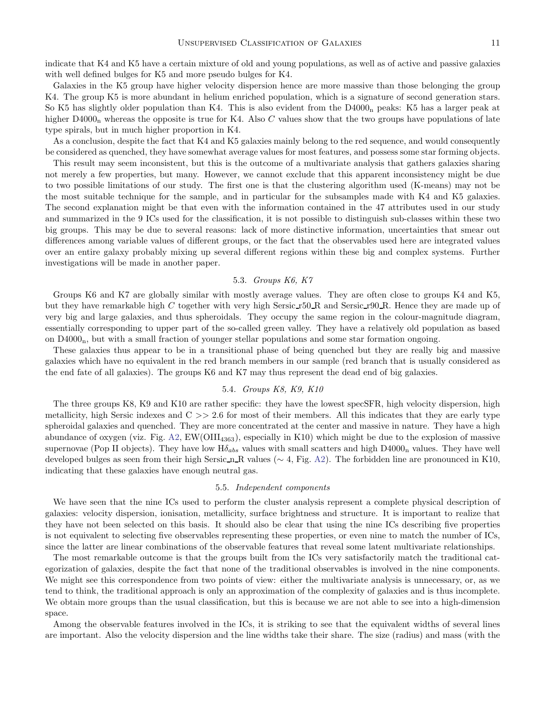indicate that K4 and K5 have a certain mixture of old and young populations, as well as of active and passive galaxies with well defined bulges for K5 and more pseudo bulges for K4.

Galaxies in the K5 group have higher velocity dispersion hence are more massive than those belonging the group K4. The group K5 is more abundant in helium enriched population, which is a signature of second generation stars. So K5 has slightly older population than K4. This is also evident from the D4000<sub>n</sub> peaks: K5 has a larger peak at higher  $D4000<sub>n</sub>$  whereas the opposite is true for K4. Also C values show that the two groups have populations of late type spirals, but in much higher proportion in K4.

As a conclusion, despite the fact that K4 and K5 galaxies mainly belong to the red sequence, and would consequently be considered as quenched, they have somewhat average values for most features, and possess some star forming objects.

This result may seem inconsistent, but this is the outcome of a multivariate analysis that gathers galaxies sharing not merely a few properties, but many. However, we cannot exclude that this apparent inconsistency might be due to two possible limitations of our study. The first one is that the clustering algorithm used (K-means) may not be the most suitable technique for the sample, and in particular for the subsamples made with K4 and K5 galaxies. The second explanation might be that even with the information contained in the 47 attributes used in our study and summarized in the 9 ICs used for the classification, it is not possible to distinguish sub-classes within these two big groups. This may be due to several reasons: lack of more distinctive information, uncertainties that smear out differences among variable values of different groups, or the fact that the observables used here are integrated values over an entire galaxy probably mixing up several different regions within these big and complex systems. Further investigations will be made in another paper.

### 5.3. Groups K6, K7

Groups K6 and K7 are globally similar with mostly average values. They are often close to groups K4 and K5, but they have remarkable high C together with very high Sersic r50 R and Sersic r90 R. Hence they are made up of very big and large galaxies, and thus spheroidals. They occupy the same region in the colour-magnitude diagram, essentially corresponding to upper part of the so-called green valley. They have a relatively old population as based on  $D4000<sub>n</sub>$ , but with a small fraction of younger stellar populations and some star formation ongoing.

These galaxies thus appear to be in a transitional phase of being quenched but they are really big and massive galaxies which have no equivalent in the red branch members in our sample (red branch that is usually considered as the end fate of all galaxies). The groups K6 and K7 may thus represent the dead end of big galaxies.

#### 5.4. Groups K8, K9, K10

The three groups K8, K9 and K10 are rather specific: they have the lowest specSFR, high velocity dispersion, high metallicity, high Sersic indexes and  $C \gg 2.6$  for most of their members. All this indicates that they are early type spheroidal galaxies and quenched. They are more concentrated at the center and massive in nature. They have a high abundance of oxygen (viz. Fig. A2,  $EW(OIII_{4363})$ , especially in K10) which might be due to the explosion of massive supernovae (Pop II objects). They have low  $H\delta_{abs}$  values with small scatters and high  $D4000<sub>n</sub>$  values. They have well developed bulges as seen from their high Sersic\_n\_R values ( $\sim 4$ , Fig. A2). The forbidden line are pronounced in K10, indicating that these galaxies have enough neutral gas.

### 5.5. Independent components

We have seen that the nine ICs used to perform the cluster analysis represent a complete physical description of galaxies: velocity dispersion, ionisation, metallicity, surface brightness and structure. It is important to realize that they have not been selected on this basis. It should also be clear that using the nine ICs describing five properties is not equivalent to selecting five observables representing these properties, or even nine to match the number of ICs, since the latter are linear combinations of the observable features that reveal some latent multivariate relationships.

The most remarkable outcome is that the groups built from the ICs very satisfactorily match the traditional categorization of galaxies, despite the fact that none of the traditional observables is involved in the nine components. We might see this correspondence from two points of view: either the multivariate analysis is unnecessary, or, as we tend to think, the traditional approach is only an approximation of the complexity of galaxies and is thus incomplete. We obtain more groups than the usual classification, but this is because we are not able to see into a high-dimension space.

Among the observable features involved in the ICs, it is striking to see that the equivalent widths of several lines are important. Also the velocity dispersion and the line widths take their share. The size (radius) and mass (with the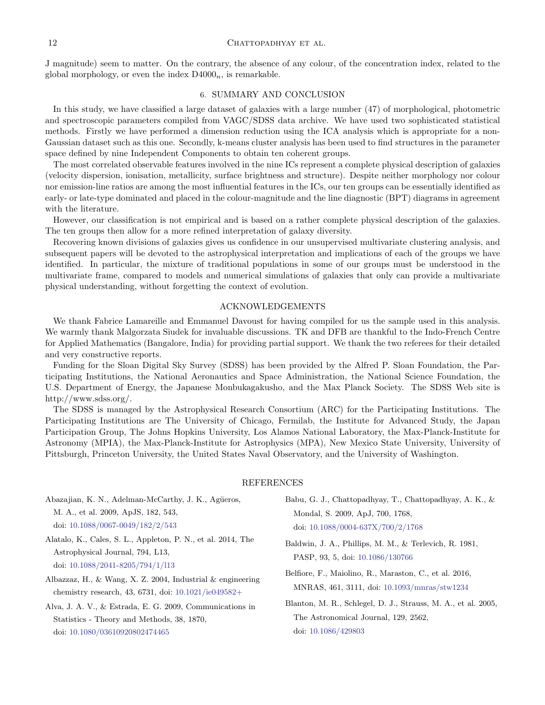J magnitude) seem to matter. On the contrary, the absence of any colour, of the concentration index, related to the global morphology, or even the index  $D4000<sub>n</sub>$ , is remarkable.

### 6. SUMMARY AND CONCLUSION

In this study, we have classified a large dataset of galaxies with a large number (47) of morphological, photometric and spectroscopic parameters compiled from VAGC/SDSS data archive. We have used two sophisticated statistical methods. Firstly we have performed a dimension reduction using the ICA analysis which is appropriate for a non-Gaussian dataset such as this one. Secondly, k-means cluster analysis has been used to find structures in the parameter space defined by nine Independent Components to obtain ten coherent groups.

The most correlated observable features involved in the nine ICs represent a complete physical description of galaxies (velocity dispersion, ionisation, metallicity, surface brightness and structure). Despite neither morphology nor colour nor emission-line ratios are among the most influential features in the ICs, our ten groups can be essentially identified as early- or late-type dominated and placed in the colour-magnitude and the line diagnostic (BPT) diagrams in agreement with the literature.

However, our classification is not empirical and is based on a rather complete physical description of the galaxies. The ten groups then allow for a more refined interpretation of galaxy diversity.

Recovering known divisions of galaxies gives us confidence in our unsupervised multivariate clustering analysis, and subsequent papers will be devoted to the astrophysical interpretation and implications of each of the groups we have identified. In particular, the mixture of traditional populations in some of our groups must be understood in the multivariate frame, compared to models and numerical simulations of galaxies that only can provide a multivariate physical understanding, without forgetting the context of evolution.

#### ACKNOWLEDGEMENTS

We thank Fabrice Lamareille and Emmanuel Davoust for having compiled for us the sample used in this analysis. We warmly thank Malgorzata Siudek for invaluable discussions. TK and DFB are thankful to the Indo-French Centre for Applied Mathematics (Bangalore, India) for providing partial support. We thank the two referees for their detailed and very constructive reports.

Funding for the Sloan Digital Sky Survey (SDSS) has been provided by the Alfred P. Sloan Foundation, the Participating Institutions, the National Aeronautics and Space Administration, the National Science Foundation, the U.S. Department of Energy, the Japanese Monbukagakusho, and the Max Planck Society. The SDSS Web site is http://www.sdss.org/.

The SDSS is managed by the Astrophysical Research Consortium (ARC) for the Participating Institutions. The Participating Institutions are The University of Chicago, Fermilab, the Institute for Advanced Study, the Japan Participation Group, The Johns Hopkins University, Los Alamos National Laboratory, the Max-Planck-Institute for Astronomy (MPIA), the Max-Planck-Institute for Astrophysics (MPA), New Mexico State University, University of Pittsburgh, Princeton University, the United States Naval Observatory, and the University of Washington.

### REFERENCES

Abazajian, K. N., Adelman-McCarthy, J. K., Agüeros, M. A., et al. 2009, ApJS, 182, 543, doi: 10.1088/0067-0049/182/2/543 Alatalo, K., Cales, S. L., Appleton, P. N., et al. 2014, The Astrophysical Journal, 794, L13, doi: 10.1088/2041-8205/794/1/l13 Albazzaz, H., & Wang, X. Z. 2004, Industrial & engineering chemistry research, 43, 6731, doi: 10.1021/ie049582+ Alva, J. A. V., & Estrada, E. G. 2009, Communications in Statistics - Theory and Methods, 38, 1870, doi: 10.1080/03610920802474465 Babu, G. J., Chattopadhyay, T., Chattopadhyay, A. K., & Mondal, S. 2009, ApJ, 700, 1768, doi: 10.1088/0004-637X/700/2/1768 Baldwin, J. A., Phillips, M. M., & Terlevich, R. 1981, PASP, 93, 5, doi: 10.1086/130766 Belfiore, F., Maiolino, R., Maraston, C., et al. 2016, MNRAS, 461, 3111, doi: 10.1093/mnras/stw1234 Blanton, M. R., Schlegel, D. J., Strauss, M. A., et al. 2005, The Astronomical Journal, 129, 2562, doi: 10.1086/429803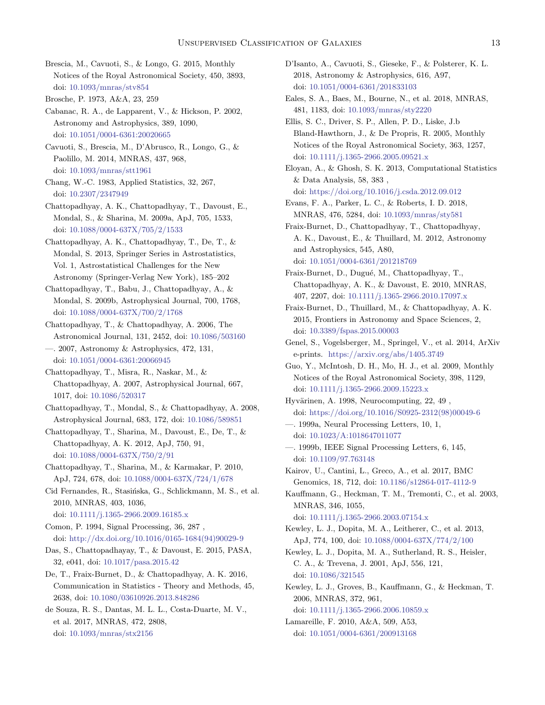Brescia, M., Cavuoti, S., & Longo, G. 2015, Monthly Notices of the Royal Astronomical Society, 450, 3893, doi: 10.1093/mnras/stv854

Brosche, P. 1973, A&A, 23, 259

Cabanac, R. A., de Lapparent, V., & Hickson, P. 2002, Astronomy and Astrophysics, 389, 1090, doi: 10.1051/0004-6361:20020665

Cavuoti, S., Brescia, M., D'Abrusco, R., Longo, G., & Paolillo, M. 2014, MNRAS, 437, 968, doi: 10.1093/mnras/stt1961

Chang, W.-C. 1983, Applied Statistics, 32, 267, doi: 10.2307/2347949

Chattopadhyay, A. K., Chattopadhyay, T., Davoust, E., Mondal, S., & Sharina, M. 2009a, ApJ, 705, 1533, doi: 10.1088/0004-637X/705/2/1533

Chattopadhyay, A. K., Chattopadhyay, T., De, T., & Mondal, S. 2013, Springer Series in Astrostatistics, Vol. 1, Astrostatistical Challenges for the New Astronomy (Springer-Verlag New York), 185–202

Chattopadhyay, T., Babu, J., Chattopadhyay, A., & Mondal, S. 2009b, Astrophysical Journal, 700, 1768, doi: 10.1088/0004-637X/700/2/1768

Chattopadhyay, T., & Chattopadhyay, A. 2006, The Astronomical Journal, 131, 2452, doi: 10.1086/503160

—. 2007, Astronomy & Astrophysics, 472, 131, doi: 10.1051/0004-6361:20066945

Chattopadhyay, T., Misra, R., Naskar, M., & Chattopadhyay, A. 2007, Astrophysical Journal, 667, 1017, doi: 10.1086/520317

Chattopadhyay, T., Mondal, S., & Chattopadhyay, A. 2008, Astrophysical Journal, 683, 172, doi: 10.1086/589851

Chattopadhyay, T., Sharina, M., Davoust, E., De, T., & Chattopadhyay, A. K. 2012, ApJ, 750, 91, doi: 10.1088/0004-637X/750/2/91

Chattopadhyay, T., Sharina, M., & Karmakar, P. 2010, ApJ, 724, 678, doi: 10.1088/0004-637X/724/1/678

Cid Fernandes, R., Stasińska, G., Schlickmann, M. S., et al. 2010, MNRAS, 403, 1036, doi: 10.1111/j.1365-2966.2009.16185.x

- Comon, P. 1994, Signal Processing, 36, 287 , doi: http://dx.doi.org/10.1016/0165-1684(94)90029-9
- Das, S., Chattopadhayay, T., & Davoust, E. 2015, PASA, 32, e041, doi: 10.1017/pasa.2015.42
- De, T., Fraix-Burnet, D., & Chattopadhyay, A. K. 2016, Communication in Statistics - Theory and Methods, 45, 2638, doi: 10.1080/03610926.2013.848286

de Souza, R. S., Dantas, M. L. L., Costa-Duarte, M. V., et al. 2017, MNRAS, 472, 2808, doi: 10.1093/mnras/stx2156

D'Isanto, A., Cavuoti, S., Gieseke, F., & Polsterer, K. L. 2018, Astronomy & Astrophysics, 616, A97, doi: 10.1051/0004-6361/201833103

Eales, S. A., Baes, M., Bourne, N., et al. 2018, MNRAS, 481, 1183, doi: 10.1093/mnras/sty2220

Ellis, S. C., Driver, S. P., Allen, P. D., Liske, J.b Bland-Hawthorn, J., & De Propris, R. 2005, Monthly Notices of the Royal Astronomical Society, 363, 1257, doi: 10.1111/j.1365-2966.2005.09521.x

Eloyan, A., & Ghosh, S. K. 2013, Computational Statistics & Data Analysis, 58, 383 , doi: https://doi.org/10.1016/j.csda.2012.09.012

Evans, F. A., Parker, L. C., & Roberts, I. D. 2018, MNRAS, 476, 5284, doi: 10.1093/mnras/sty581

Fraix-Burnet, D., Chattopadhyay, T., Chattopadhyay, A. K., Davoust, E., & Thuillard, M. 2012, Astronomy and Astrophysics, 545, A80, doi: 10.1051/0004-6361/201218769

Fraix-Burnet, D., Dugué, M., Chattopadhyay, T., Chattopadhyay, A. K., & Davoust, E. 2010, MNRAS, 407, 2207, doi: 10.1111/j.1365-2966.2010.17097.x

Fraix-Burnet, D., Thuillard, M., & Chattopadhyay, A. K. 2015, Frontiers in Astronomy and Space Sciences, 2, doi: 10.3389/fspas.2015.00003

- Genel, S., Vogelsberger, M., Springel, V., et al. 2014, ArXiv e-prints. https://arxiv.org/abs/1405.3749
- Guo, Y., McIntosh, D. H., Mo, H. J., et al. 2009, Monthly Notices of the Royal Astronomical Society, 398, 1129, doi: 10.1111/j.1365-2966.2009.15223.x

Hyvärinen, A. 1998, Neurocomputing, 22, 49, doi: https://doi.org/10.1016/S0925-2312(98)00049-6

—. 1999a, Neural Processing Letters, 10, 1, doi: 10.1023/A:1018647011077

—. 1999b, IEEE Signal Processing Letters, 6, 145, doi: 10.1109/97.763148

Kairov, U., Cantini, L., Greco, A., et al. 2017, BMC Genomics, 18, 712, doi: 10.1186/s12864-017-4112-9

Kauffmann, G., Heckman, T. M., Tremonti, C., et al. 2003, MNRAS, 346, 1055,

doi: 10.1111/j.1365-2966.2003.07154.x

- Kewley, L. J., Dopita, M. A., Leitherer, C., et al. 2013, ApJ, 774, 100, doi: 10.1088/0004-637X/774/2/100
- Kewley, L. J., Dopita, M. A., Sutherland, R. S., Heisler, C. A., & Trevena, J. 2001, ApJ, 556, 121, doi: 10.1086/321545
- Kewley, L. J., Groves, B., Kauffmann, G., & Heckman, T. 2006, MNRAS, 372, 961, doi: 10.1111/j.1365-2966.2006.10859.x

Lamareille, F. 2010, A&A, 509, A53, doi: 10.1051/0004-6361/200913168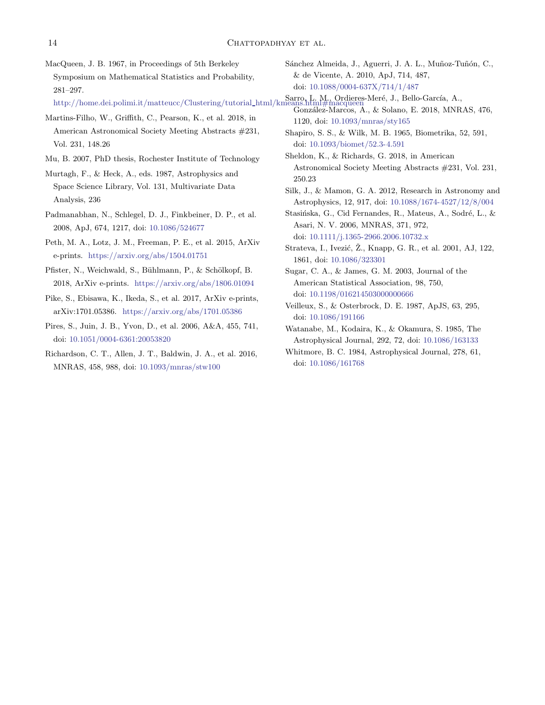| MacQueen, J. B. 1967, in Proceedings of 5th Berkeley                                                                                                                 | Sánchez Almeida, J., Aguerri, J. A. L., Muñoz-Tuñón, C.,         |
|----------------------------------------------------------------------------------------------------------------------------------------------------------------------|------------------------------------------------------------------|
| Symposium on Mathematical Statistics and Probability,                                                                                                                | & de Vicente, A. 2010, ApJ, 714, 487,                            |
| $281 - 297.$                                                                                                                                                         | doi: 10.1088/0004-637X/714/1/487                                 |
| http://home.dei.polimi.it/matteucc/Clustering/tutorial_html/kmeans.html#macqueen<br>http://home.dei.polimi.it/matteucc/Clustering/tutorial_html/kmeans.html#macqueen | González-Marcos, A., & Solano, E. 2018, MNRAS, 476,              |
| Martins-Filho, W., Griffith, C., Pearson, K., et al. 2018, in                                                                                                        | 1120, doi: 10.1093/mnras/sty165                                  |
| American Astronomical Society Meeting Abstracts #231,                                                                                                                | Shapiro, S. S., & Wilk, M. B. 1965, Biometrika, 52, 591,         |
| Vol. 231, 148.26                                                                                                                                                     | doi: $10.1093/biomet/52.3-4.591$                                 |
| Mu, B. 2007, PhD thesis, Rochester Institute of Technology                                                                                                           | Sheldon, K., & Richards, G. 2018, in American                    |
| Murtagh, F., & Heck, A., eds. 1987, Astrophysics and                                                                                                                 | Astronomical Society Meeting Abstracts #231, Vol. 231,<br>250.23 |
| Space Science Library, Vol. 131, Multivariate Data                                                                                                                   | Silk, J., & Mamon, G. A. 2012, Research in Astronomy and         |
| Analysis, 236                                                                                                                                                        | Astrophysics, 12, 917, doi: 10.1088/1674-4527/12/8/004           |
| Padmanabhan, N., Schlegel, D. J., Finkbeiner, D. P., et al.                                                                                                          | Stasińska, G., Cid Fernandes, R., Mateus, A., Sodré, L., &       |
| 2008, ApJ, 674, 1217, doi: 10.1086/524677                                                                                                                            | Asari, N. V. 2006, MNRAS, 371, 972,                              |
| Peth, M. A., Lotz, J. M., Freeman, P. E., et al. 2015, ArXiv                                                                                                         | doi: $10.1111/j.1365-2966.2006.10732.x$                          |
| e-prints. https://arxiv.org/abs/1504.01751                                                                                                                           | Strateva, I., Ivezić, Ž., Knapp, G. R., et al. 2001, AJ, 122,    |
|                                                                                                                                                                      | 1861, doi: 10.1086/323301                                        |
| Pfister, N., Weichwald, S., Bühlmann, P., & Schölkopf, B.                                                                                                            | Sugar, C. A., & James, G. M. 2003, Journal of the                |
| 2018, ArXiv e-prints. https://arxiv.org/abs/1806.01094                                                                                                               | American Statistical Association, 98, 750,                       |
| Pike, S., Ebisawa, K., Ikeda, S., et al. 2017, ArXiv e-prints,                                                                                                       | doi: 10.1198/016214503000000666                                  |

- arXiv:1701.05386. https://arxiv.org/abs/1701.05386
- Pires, S., Juin, J. B., Yvon, D., et al. 2006, A&A, 455, 741, doi: 10.1051/0004-6361:20053820
- Richardson, C. T., Allen, J. T., Baldwin, J. A., et al. 2016, MNRAS, 458, 988, doi: 10.1093/mnras/stw100
- Watanabe, M., Kodaira, K., & Okamura, S. 1985, The Astrophysical Journal, 292, 72, doi: 10.1086/163133

Veilleux, S., & Osterbrock, D. E. 1987, ApJS, 63, 295,

doi: 10.1086/191166

Whitmore, B. C. 1984, Astrophysical Journal, 278, 61, doi: 10.1086/161768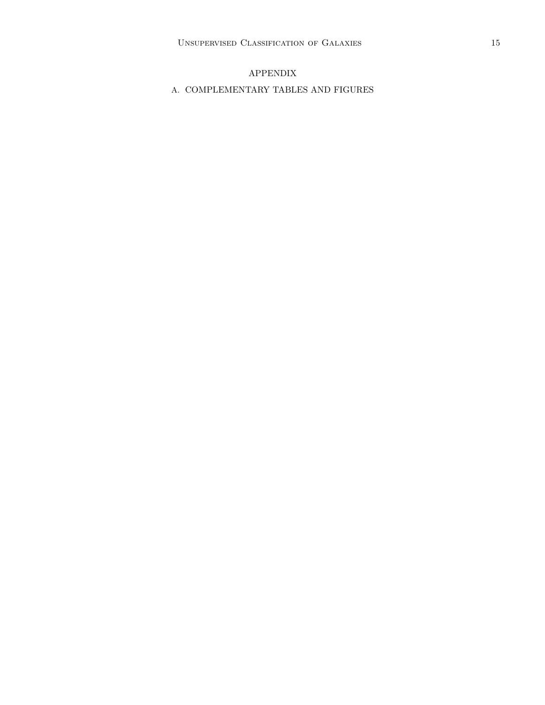# APPENDIX

# A. COMPLEMENTARY TABLES AND FIGURES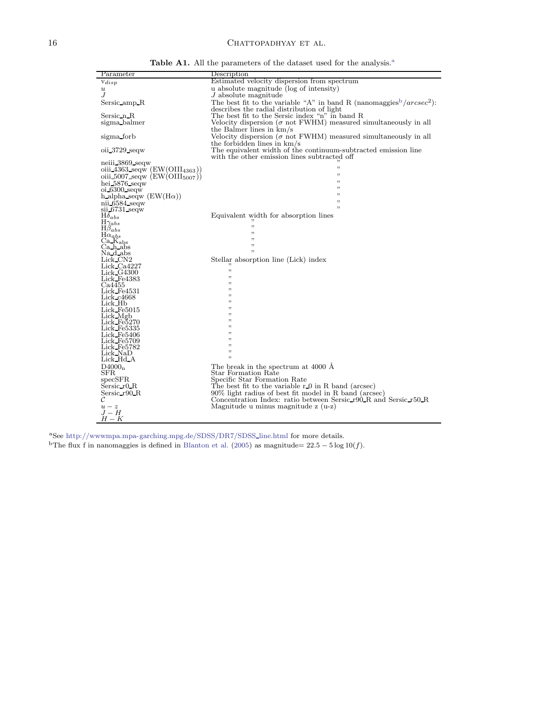# $$

| Parameter                                                                 | Description                                                                                                                        |
|---------------------------------------------------------------------------|------------------------------------------------------------------------------------------------------------------------------------|
| $\mathrm{v}_{disp}$                                                       | Estimated velocity dispersion from spectrum                                                                                        |
| $\boldsymbol{u}$                                                          | u absolute magnitude (log of intensity)                                                                                            |
| .I                                                                        | $J$ absolute magnitude                                                                                                             |
| Sersic amp R                                                              | The best fit to the variable "A" in band R (nanomaggies <sup>b</sup> / $arcsec^2$ ):<br>describes the radial distribution of light |
| Sersic n R                                                                | The best fit to the Sersic index "n" in band R                                                                                     |
| sigma balmer                                                              | Velocity dispersion ( $\sigma$ not FWHM) measured simultaneously in all                                                            |
|                                                                           | the Balmer lines in $km/s$                                                                                                         |
| sigma forb                                                                | Velocity dispersion ( $\sigma$ not FWHM) measured simultaneously in all                                                            |
|                                                                           | the forbidden lines in $km/s$                                                                                                      |
| $oii$ 3729 seqw                                                           | The equivalent width of the continuum-subtracted emission line<br>with the other emission lines subtracted off                     |
| neiii 3869 seqw                                                           |                                                                                                                                    |
| oiii 4363 seqw $(EW(OIII_{4363}))$                                        | ,,                                                                                                                                 |
| oiii 5007 seqw $(EW(OIII5007))$                                           | ,,                                                                                                                                 |
| hei 5876 seqw                                                             | ,                                                                                                                                  |
| $oi$ 6300 seqw                                                            | ,,                                                                                                                                 |
| h alpha seqw $(EW(H\alpha))$                                              | ,,                                                                                                                                 |
| nii $6584$ seqw                                                           | ,,                                                                                                                                 |
| sii 6731 segw                                                             | ,                                                                                                                                  |
| $H\delta_{abs}$                                                           | Equivalent width for absorption lines                                                                                              |
| $\underset{\smash{\rightarrow}}{\mathrm{H}}\underset{\rho}{\gamma_{abs}}$ |                                                                                                                                    |
|                                                                           | ,<br>,                                                                                                                             |
| $\mathrm{H}\alpha_{abs}$                                                  | ,,                                                                                                                                 |
| Ca K <sub>abs</sub>                                                       | ,                                                                                                                                  |
| Ca_h_abs                                                                  | ,                                                                                                                                  |
| Na d-abs<br>Lick_CN2                                                      | Stellar absorption line (Lick) index                                                                                               |
| Lick_Ca4227                                                               |                                                                                                                                    |
| Lick G4300                                                                | ,,                                                                                                                                 |
| Lick Fe4383                                                               | ,,                                                                                                                                 |
| Ca4455                                                                    | "                                                                                                                                  |
| Lick Fe4531                                                               | "                                                                                                                                  |
| Lick_c4668                                                                | "                                                                                                                                  |
| Lick Hb                                                                   | "                                                                                                                                  |
| Lick Fe5015                                                               | "<br>"                                                                                                                             |
| Lick_Mgb                                                                  | "                                                                                                                                  |
| Lick_Fe5270<br>Lick Fe5335                                                | "                                                                                                                                  |
| Lick_Fe5406                                                               | ,,                                                                                                                                 |
| Lick Fe5709                                                               | "                                                                                                                                  |
| Lick_Fe5782                                                               | "                                                                                                                                  |
| Lick_NaD                                                                  | ,,                                                                                                                                 |
| Lick_Hd_A                                                                 | ,,                                                                                                                                 |
| D4000 <sub>n</sub>                                                        | The break in the spectrum at 4000 A                                                                                                |
| $_{\rm SFR}$                                                              | Star Formation Rate                                                                                                                |
| specSFR                                                                   | Specific Star Formation Rate                                                                                                       |
| Sersic r0 R                                                               | The best fit to the variable $r \theta$ in R band (arcsec)                                                                         |
| Sersic r90 R                                                              | 90% light radius of best fit model in R band (arcsec)                                                                              |
| C                                                                         | Concentration Index: ratio between Sersic_r90_R and Sersic_r50_R                                                                   |
| $u-z$                                                                     | Magnitude u minus magnitude z (u-z)                                                                                                |
| $J-H$                                                                     |                                                                                                                                    |
| $H-K$                                                                     |                                                                                                                                    |

Table A1. All the parameters of the dataset used for the analysis.<sup>a</sup>

<sup>a</sup>See http://wwwmpa.mpa-garching.mpg.de/SDSS/DR7/SDSS line.html for more details. <sup>b</sup>The flux f in nanomaggies is defined in Blanton et al. (2005) as magnitude=  $22.5 - 5 \log 10(f)$ .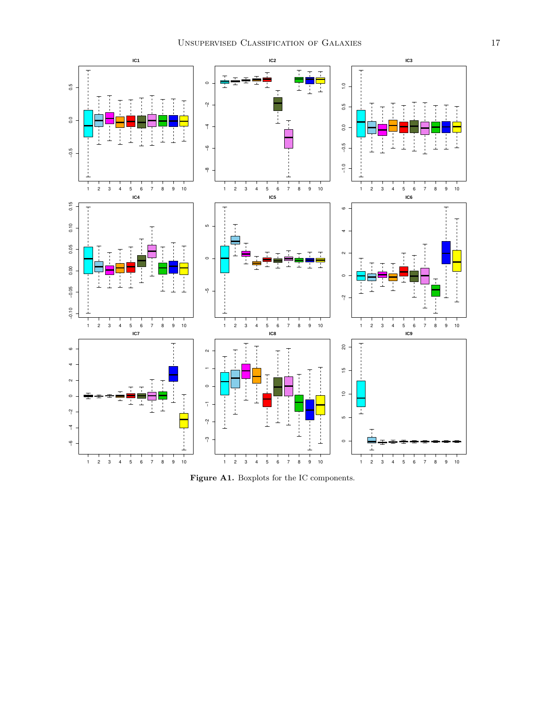

Figure A1. Boxplots for the IC components.